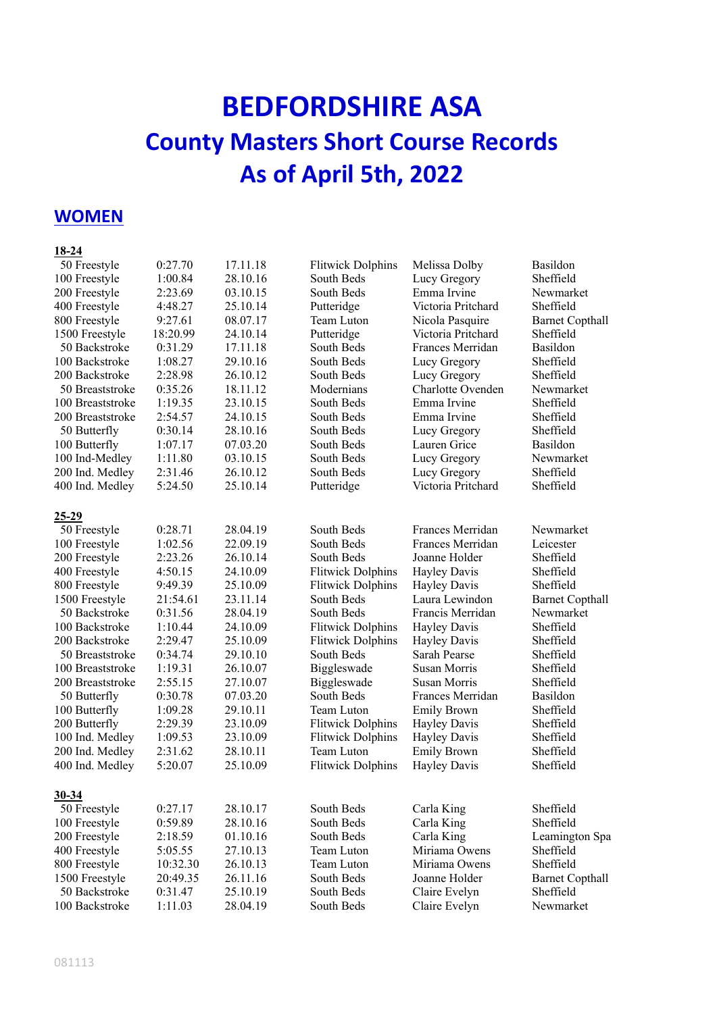# **BEDFORDSHIRE ASA County Masters Short Course Records As of April 5th, 2022**

## **WOMEN**

#### **18-24**

| 50 Freestyle     | 0:27.70  | 17.11.18 | <b>Flitwick Dolphins</b> | Melissa Dolby       | Basildon               |
|------------------|----------|----------|--------------------------|---------------------|------------------------|
| 100 Freestyle    | 1:00.84  | 28.10.16 | South Beds               | Lucy Gregory        | Sheffield              |
| 200 Freestyle    | 2:23.69  | 03.10.15 | South Beds               | Emma Irvine         | Newmarket              |
| 400 Freestyle    | 4:48.27  | 25.10.14 | Putteridge               | Victoria Pritchard  | Sheffield              |
| 800 Freestyle    | 9:27.61  | 08.07.17 | Team Luton               | Nicola Pasquire     | <b>Barnet Copthall</b> |
| 1500 Freestyle   | 18:20.99 | 24.10.14 | Putteridge               | Victoria Pritchard  | Sheffield              |
| 50 Backstroke    | 0:31.29  | 17.11.18 | South Beds               | Frances Merridan    | Basildon               |
| 100 Backstroke   | 1:08.27  | 29.10.16 | South Beds               | Lucy Gregory        | Sheffield              |
| 200 Backstroke   | 2:28.98  | 26.10.12 | South Beds               | Lucy Gregory        | Sheffield              |
| 50 Breaststroke  | 0:35.26  | 18.11.12 | Modernians               | Charlotte Ovenden   | Newmarket              |
| 100 Breaststroke | 1:19.35  | 23.10.15 | South Beds               | Emma Irvine         | Sheffield              |
| 200 Breaststroke | 2:54.57  | 24.10.15 | South Beds               | Emma Irvine         | Sheffield              |
| 50 Butterfly     | 0:30.14  | 28.10.16 | South Beds               | Lucy Gregory        | Sheffield              |
| 100 Butterfly    | 1:07.17  | 07.03.20 | South Beds               | Lauren Grice        | Basildon               |
| 100 Ind-Medley   | 1:11.80  | 03.10.15 | South Beds               | Lucy Gregory        | Newmarket              |
| 200 Ind. Medley  | 2:31.46  | 26.10.12 | South Beds               | Lucy Gregory        | Sheffield              |
| 400 Ind. Medley  | 5:24.50  | 25.10.14 | Putteridge               | Victoria Pritchard  | Sheffield              |
| $25 - 29$        |          |          |                          |                     |                        |
| 50 Freestyle     | 0:28.71  | 28.04.19 | South Beds               | Frances Merridan    | Newmarket              |
| 100 Freestyle    | 1:02.56  | 22.09.19 | South Beds               | Frances Merridan    | Leicester              |
| 200 Freestyle    | 2:23.26  | 26.10.14 | South Beds               | Joanne Holder       | Sheffield              |
| 400 Freestyle    | 4:50.15  | 24.10.09 | <b>Flitwick Dolphins</b> | Hayley Davis        | Sheffield              |
| 800 Freestyle    | 9:49.39  | 25.10.09 | <b>Flitwick Dolphins</b> | <b>Hayley Davis</b> | Sheffield              |
| 1500 Freestyle   | 21:54.61 | 23.11.14 | South Beds               | Laura Lewindon      | <b>Barnet Copthall</b> |
| 50 Backstroke    | 0:31.56  | 28.04.19 | South Beds               | Francis Merridan    | Newmarket              |
| 100 Backstroke   | 1:10.44  | 24.10.09 | <b>Flitwick Dolphins</b> | <b>Hayley Davis</b> | Sheffield              |
| 200 Backstroke   | 2:29.47  | 25.10.09 | <b>Flitwick Dolphins</b> | <b>Hayley Davis</b> | Sheffield              |
| 50 Breaststroke  | 0:34.74  | 29.10.10 | South Beds               | Sarah Pearse        | Sheffield              |
| 100 Breaststroke | 1:19.31  | 26.10.07 | Biggleswade              | <b>Susan Morris</b> | Sheffield              |
| 200 Breaststroke | 2:55.15  | 27.10.07 | Biggleswade              | Susan Morris        | Sheffield              |
| 50 Butterfly     | 0:30.78  | 07.03.20 | South Beds               | Frances Merridan    | Basildon               |
| 100 Butterfly    | 1:09.28  | 29.10.11 | Team Luton               | <b>Emily Brown</b>  | Sheffield              |
| 200 Butterfly    | 2:29.39  | 23.10.09 | <b>Flitwick Dolphins</b> | Hayley Davis        | Sheffield              |
| 100 Ind. Medley  | 1:09.53  | 23.10.09 | <b>Flitwick Dolphins</b> | <b>Hayley Davis</b> | Sheffield              |
| 200 Ind. Medley  | 2:31.62  | 28.10.11 | Team Luton               | <b>Emily Brown</b>  | Sheffield              |
| 400 Ind. Medley  | 5:20.07  | 25.10.09 | <b>Flitwick Dolphins</b> | <b>Hayley Davis</b> | Sheffield              |
| 30-34            |          |          |                          |                     |                        |
| 50 Freestyle     | 0:27.17  | 28.10.17 | South Beds               | Carla King          | Sheffield              |
| 100 Freestyle    | 0:59.89  | 28.10.16 | South Beds               | Carla King          | Sheffield              |
| 200 Freestyle    | 2:18.59  | 01.10.16 | South Beds               | Carla King          | Leamington Spa         |
| 400 Freestyle    | 5:05.55  | 27.10.13 | Team Luton               | Miriama Owens       | Sheffield              |
| 800 Freestyle    | 10:32.30 | 26.10.13 | Team Luton               | Miriama Owens       | Sheffield              |
| 1500 Freestyle   | 20:49.35 | 26.11.16 | South Beds               | Joanne Holder       | <b>Barnet Copthall</b> |
| 50 Backstroke    | 0:31.47  | 25.10.19 | South Beds               | Claire Evelyn       | Sheffield              |
| 100 Backstroke   | 1:11.03  | 28.04.19 | South Beds               | Claire Evelyn       | Newmarket              |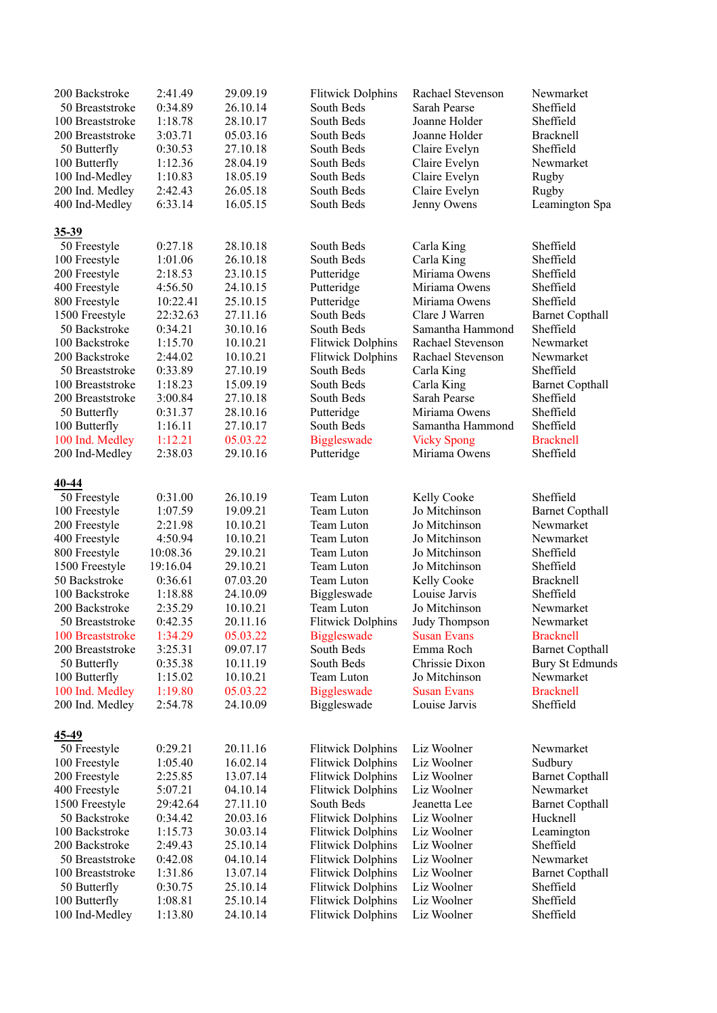| 200 Backstroke   | 2:41.49  | 29.09.19 | <b>Flitwick Dolphins</b> | Rachael Stevenson  | Newmarket              |
|------------------|----------|----------|--------------------------|--------------------|------------------------|
| 50 Breaststroke  | 0:34.89  | 26.10.14 | South Beds               | Sarah Pearse       | Sheffield              |
| 100 Breaststroke | 1:18.78  | 28.10.17 | South Beds               | Joanne Holder      | Sheffield              |
| 200 Breaststroke | 3:03.71  | 05.03.16 | South Beds               | Joanne Holder      | Bracknell              |
| 50 Butterfly     | 0:30.53  | 27.10.18 | South Beds               | Claire Evelyn      | Sheffield              |
| 100 Butterfly    | 1:12.36  | 28.04.19 | South Beds               | Claire Evelyn      | Newmarket              |
| 100 Ind-Medley   | 1:10.83  | 18.05.19 | South Beds               | Claire Evelyn      | Rugby                  |
| 200 Ind. Medley  | 2:42.43  | 26.05.18 | South Beds               | Claire Evelyn      | Rugby                  |
|                  | 6:33.14  | 16.05.15 | South Beds               |                    |                        |
| 400 Ind-Medley   |          |          |                          | Jenny Owens        | Leamington Spa         |
| $35 - 39$        |          |          |                          |                    |                        |
| 50 Freestyle     | 0:27.18  | 28.10.18 | South Beds               | Carla King         | Sheffield              |
| 100 Freestyle    | 1:01.06  | 26.10.18 | South Beds               | Carla King         | Sheffield              |
| 200 Freestyle    | 2:18.53  | 23.10.15 | Putteridge               | Miriama Owens      | Sheffield              |
| 400 Freestyle    | 4:56.50  | 24.10.15 | Putteridge               | Miriama Owens      | Sheffield              |
| 800 Freestyle    | 10:22.41 | 25.10.15 | Putteridge               | Miriama Owens      | Sheffield              |
| 1500 Freestyle   | 22:32.63 | 27.11.16 | South Beds               | Clare J Warren     | <b>Barnet Copthall</b> |
| 50 Backstroke    | 0:34.21  | 30.10.16 | South Beds               | Samantha Hammond   | Sheffield              |
| 100 Backstroke   | 1:15.70  | 10.10.21 | <b>Flitwick Dolphins</b> | Rachael Stevenson  | Newmarket              |
| 200 Backstroke   | 2:44.02  | 10.10.21 | <b>Flitwick Dolphins</b> | Rachael Stevenson  | Newmarket              |
|                  | 0:33.89  | 27.10.19 | South Beds               |                    | Sheffield              |
| 50 Breaststroke  |          |          |                          | Carla King         |                        |
| 100 Breaststroke | 1:18.23  | 15.09.19 | South Beds               | Carla King         | <b>Barnet Copthall</b> |
| 200 Breaststroke | 3:00.84  | 27.10.18 | South Beds               | Sarah Pearse       | Sheffield              |
| 50 Butterfly     | 0:31.37  | 28.10.16 | Putteridge               | Miriama Owens      | Sheffield              |
| 100 Butterfly    | 1:16.11  | 27.10.17 | South Beds               | Samantha Hammond   | Sheffield              |
| 100 Ind. Medley  | 1:12.21  | 05.03.22 | <b>Biggleswade</b>       | <b>Vicky Spong</b> | <b>Bracknell</b>       |
| 200 Ind-Medley   | 2:38.03  | 29.10.16 | Putteridge               | Miriama Owens      | Sheffield              |
|                  |          |          |                          |                    |                        |
| 40-44            |          |          |                          |                    |                        |
| 50 Freestyle     | 0:31.00  | 26.10.19 | Team Luton               | Kelly Cooke        | Sheffield              |
| 100 Freestyle    | 1:07.59  | 19.09.21 | Team Luton               | Jo Mitchinson      | <b>Barnet Copthall</b> |
| 200 Freestyle    | 2:21.98  | 10.10.21 | Team Luton               | Jo Mitchinson      | Newmarket              |
| 400 Freestyle    | 4:50.94  | 10.10.21 | Team Luton               | Jo Mitchinson      | Newmarket              |
| 800 Freestyle    | 10:08.36 | 29.10.21 | Team Luton               | Jo Mitchinson      | Sheffield              |
| 1500 Freestyle   | 19:16.04 | 29.10.21 | Team Luton               | Jo Mitchinson      | Sheffield              |
| 50 Backstroke    | 0:36.61  | 07.03.20 | Team Luton               | Kelly Cooke        | Bracknell              |
| 100 Backstroke   | 1:18.88  | 24.10.09 | Biggleswade              | Louise Jarvis      | Sheffield              |
| 200 Backstroke   | 2:35.29  | 10.10.21 | Team Luton               | Jo Mitchinson      | Newmarket              |
| 50 Breaststroke  | 0:42.35  | 20.11.16 | <b>Flitwick Dolphins</b> | Judy Thompson      | Newmarket              |
| 100 Breaststroke | 1:34.29  | 05.03.22 | <b>Biggleswade</b>       | <b>Susan Evans</b> | <b>Bracknell</b>       |
| 200 Breaststroke | 3:25.31  | 09.07.17 | South Beds               | Emma Roch          | <b>Barnet Copthall</b> |
| 50 Butterfly     | 0:35.38  | 10.11.19 | South Beds               | Chrissie Dixon     | <b>Bury St Edmunds</b> |
| 100 Butterfly    | 1:15.02  | 10.10.21 | Team Luton               | Jo Mitchinson      | Newmarket              |
| 100 Ind. Medley  | 1:19.80  | 05.03.22 | <b>Biggleswade</b>       | <b>Susan Evans</b> | <b>Bracknell</b>       |
| 200 Ind. Medley  | 2:54.78  | 24.10.09 | Biggleswade              | Louise Jarvis      | Sheffield              |
|                  |          |          |                          |                    |                        |
| $45 - 49$        |          |          |                          |                    |                        |
| 50 Freestyle     | 0:29.21  | 20.11.16 | <b>Flitwick Dolphins</b> | Liz Woolner        | Newmarket              |
| 100 Freestyle    | 1:05.40  | 16.02.14 | <b>Flitwick Dolphins</b> | Liz Woolner        | Sudbury                |
| 200 Freestyle    | 2:25.85  | 13.07.14 | <b>Flitwick Dolphins</b> | Liz Woolner        | <b>Barnet Copthall</b> |
| 400 Freestyle    | 5:07.21  | 04.10.14 | <b>Flitwick Dolphins</b> | Liz Woolner        | Newmarket              |
| 1500 Freestyle   | 29:42.64 | 27.11.10 | South Beds               | Jeanetta Lee       | <b>Barnet Copthall</b> |
| 50 Backstroke    | 0:34.42  | 20.03.16 | <b>Flitwick Dolphins</b> | Liz Woolner        | Hucknell               |
| 100 Backstroke   | 1:15.73  | 30.03.14 | <b>Flitwick Dolphins</b> | Liz Woolner        | Leamington             |
| 200 Backstroke   | 2:49.43  | 25.10.14 | <b>Flitwick Dolphins</b> | Liz Woolner        | Sheffield              |
| 50 Breaststroke  | 0:42.08  | 04.10.14 | <b>Flitwick Dolphins</b> | Liz Woolner        | Newmarket              |
| 100 Breaststroke | 1:31.86  | 13.07.14 | <b>Flitwick Dolphins</b> | Liz Woolner        | <b>Barnet Copthall</b> |
| 50 Butterfly     | 0:30.75  | 25.10.14 | <b>Flitwick Dolphins</b> | Liz Woolner        | Sheffield              |
| 100 Butterfly    | 1:08.81  | 25.10.14 | <b>Flitwick Dolphins</b> | Liz Woolner        | Sheffield              |
| 100 Ind-Medley   | 1:13.80  | 24.10.14 | <b>Flitwick Dolphins</b> | Liz Woolner        | Sheffield              |
|                  |          |          |                          |                    |                        |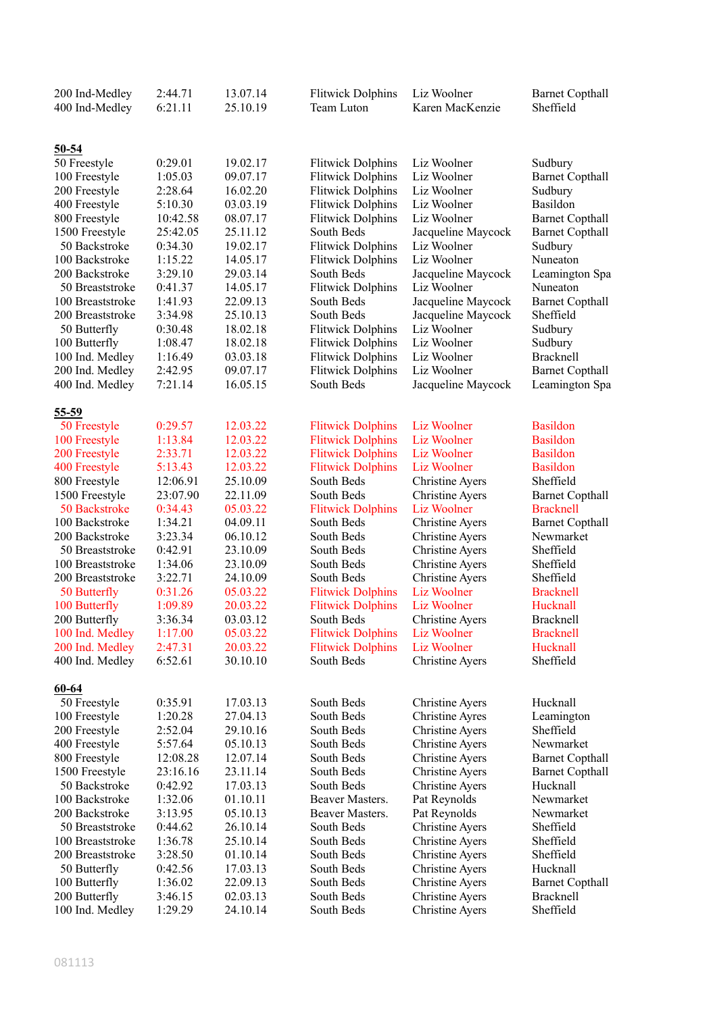| 200 Ind-Medley<br>400 Ind-Medley     | 2:44.71<br>6:21.11 | 13.07.14<br>25.10.19 | <b>Flitwick Dolphins</b><br>Team Luton | Liz Woolner<br>Karen MacKenzie                   | <b>Barnet Copthall</b><br>Sheffield |
|--------------------------------------|--------------------|----------------------|----------------------------------------|--------------------------------------------------|-------------------------------------|
| $50 - 54$                            |                    |                      |                                        |                                                  |                                     |
| 50 Freestyle                         | 0:29.01            | 19.02.17             | <b>Flitwick Dolphins</b>               | Liz Woolner                                      | Sudbury                             |
| 100 Freestyle                        | 1:05.03            | 09.07.17             | <b>Flitwick Dolphins</b>               | Liz Woolner                                      | <b>Barnet Copthall</b>              |
| 200 Freestyle                        | 2:28.64            | 16.02.20             | <b>Flitwick Dolphins</b>               | Liz Woolner                                      | Sudbury                             |
| 400 Freestyle                        | 5:10.30            | 03.03.19             | <b>Flitwick Dolphins</b>               | Liz Woolner                                      | Basildon                            |
| 800 Freestyle                        | 10:42.58           | 08.07.17             | <b>Flitwick Dolphins</b>               | Liz Woolner                                      | <b>Barnet Copthall</b>              |
| 1500 Freestyle                       | 25:42.05           | 25.11.12             | South Beds                             | Jacqueline Maycock                               | <b>Barnet Copthall</b>              |
| 50 Backstroke                        | 0:34.30            | 19.02.17             | <b>Flitwick Dolphins</b>               | Liz Woolner                                      | Sudbury                             |
| 100 Backstroke                       | 1:15.22            | 14.05.17             | <b>Flitwick Dolphins</b>               | Liz Woolner                                      | Nuneaton                            |
| 200 Backstroke                       | 3:29.10            | 29.03.14             | South Beds                             | Jacqueline Maycock                               | Leamington Spa                      |
| 50 Breaststroke                      | 0:41.37            | 14.05.17             | <b>Flitwick Dolphins</b>               | Liz Woolner                                      | Nuneaton                            |
| 100 Breaststroke                     | 1:41.93            | 22.09.13             | South Beds                             | Jacqueline Maycock                               | <b>Barnet Copthall</b>              |
| 200 Breaststroke                     | 3:34.98            | 25.10.13             | South Beds                             | Jacqueline Maycock                               | Sheffield                           |
| 50 Butterfly                         | 0:30.48            | 18.02.18             | <b>Flitwick Dolphins</b>               | Liz Woolner                                      | Sudbury                             |
| 100 Butterfly                        | 1:08.47            | 18.02.18             | <b>Flitwick Dolphins</b>               | Liz Woolner                                      | Sudbury                             |
| 100 Ind. Medley                      | 1:16.49            | 03.03.18             | <b>Flitwick Dolphins</b>               | Liz Woolner                                      | <b>Bracknell</b>                    |
| 200 Ind. Medley                      | 2:42.95            | 09.07.17             | <b>Flitwick Dolphins</b>               | Liz Woolner                                      | <b>Barnet Copthall</b>              |
| 400 Ind. Medley                      | 7:21.14            | 16.05.15             | South Beds                             | Jacqueline Maycock                               | Leamington Spa                      |
| $55 - 59$                            |                    |                      |                                        |                                                  |                                     |
| 50 Freestyle                         | 0:29.57            | 12.03.22             | <b>Flitwick Dolphins</b>               | Liz Woolner                                      | <b>Basildon</b>                     |
| 100 Freestyle                        | 1:13.84            | 12.03.22             | <b>Flitwick Dolphins</b>               | Liz Woolner                                      | <b>Basildon</b>                     |
| 200 Freestyle                        | 2:33.71            | 12.03.22             | <b>Flitwick Dolphins</b>               | Liz Woolner                                      | <b>Basildon</b>                     |
| 400 Freestyle                        | 5:13.43            | 12.03.22             | <b>Flitwick Dolphins</b>               | Liz Woolner                                      | <b>Basildon</b>                     |
| 800 Freestyle                        | 12:06.91           | 25.10.09             | South Beds                             | <b>Christine Ayers</b>                           | Sheffield                           |
| 1500 Freestyle                       | 23:07.90           | 22.11.09             | South Beds                             | Christine Ayers                                  | <b>Barnet Copthall</b>              |
| 50 Backstroke                        | 0:34.43            | 05.03.22             | <b>Flitwick Dolphins</b>               | Liz Woolner                                      | <b>Bracknell</b>                    |
| 100 Backstroke                       | 1:34.21            | 04.09.11             | South Beds                             | <b>Christine Ayers</b>                           | <b>Barnet Copthall</b>              |
| 200 Backstroke                       | 3:23.34            | 06.10.12             | South Beds                             | <b>Christine Ayers</b>                           | Newmarket                           |
| 50 Breaststroke                      | 0:42.91<br>1:34.06 | 23.10.09             | South Beds<br>South Beds               | <b>Christine Ayers</b><br><b>Christine Ayers</b> | Sheffield                           |
| 100 Breaststroke<br>200 Breaststroke | 3:22.71            | 23.10.09<br>24.10.09 | South Beds                             |                                                  | Sheffield<br>Sheffield              |
| 50 Butterfly                         | 0:31.26            | 05.03.22             | <b>Flitwick Dolphins</b>               | <b>Christine Ayers</b><br><b>Liz Woolner</b>     | <b>Bracknell</b>                    |
| 100 Butterfly                        | 1:09.89            | 20.03.22             | <b>Flitwick Dolphins</b>               | Liz Woolner                                      | Hucknall                            |
| 200 Butterfly                        | 3:36.34            | 03.03.12             | South Beds                             | Christine Avers                                  | Bracknell                           |
| 100 Ind. Medley                      | 1:17.00            | 05.03.22             | <b>Flitwick Dolphins</b>               | Liz Woolner                                      | <b>Bracknell</b>                    |
| 200 Ind. Medley                      | 2:47.31            | 20.03.22             | <b>Flitwick Dolphins</b>               | Liz Woolner                                      | Hucknall                            |
| 400 Ind. Medley                      | 6:52.61            | 30.10.10             | South Beds                             | <b>Christine Ayers</b>                           | Sheffield                           |
| $60 - 64$                            |                    |                      |                                        |                                                  |                                     |
| 50 Freestyle                         | 0:35.91            | 17.03.13             | South Beds                             | Christine Ayers                                  | Hucknall                            |
| 100 Freestyle                        | 1:20.28            | 27.04.13             | South Beds                             | <b>Christine Ayres</b>                           | Leamington                          |
| 200 Freestyle                        | 2:52.04            | 29.10.16             | South Beds                             | <b>Christine Ayers</b>                           | Sheffield                           |
| 400 Freestyle                        | 5:57.64            | 05.10.13             | South Beds                             | <b>Christine Ayers</b>                           | Newmarket                           |
| 800 Freestyle                        | 12:08.28           | 12.07.14             | South Beds                             | <b>Christine Ayers</b>                           | <b>Barnet Copthall</b>              |
| 1500 Freestyle                       | 23:16.16           | 23.11.14             | South Beds                             | <b>Christine Ayers</b>                           | <b>Barnet Copthall</b>              |
| 50 Backstroke                        | 0:42.92            | 17.03.13             | South Beds                             | <b>Christine Ayers</b>                           | Hucknall                            |
| 100 Backstroke                       | 1:32.06            | 01.10.11             | Beaver Masters.                        | Pat Reynolds                                     | Newmarket                           |
| 200 Backstroke                       | 3:13.95            | 05.10.13             | Beaver Masters.                        | Pat Reynolds                                     | Newmarket                           |
| 50 Breaststroke                      | 0:44.62            | 26.10.14             | South Beds                             | Christine Ayers                                  | Sheffield                           |
| 100 Breaststroke                     | 1:36.78            | 25.10.14             | South Beds                             | <b>Christine Ayers</b>                           | Sheffield                           |
| 200 Breaststroke                     | 3:28.50            | 01.10.14             | South Beds                             | <b>Christine Ayers</b>                           | Sheffield                           |
| 50 Butterfly                         | 0:42.56            | 17.03.13             | South Beds                             | <b>Christine Ayers</b>                           | Hucknall                            |
| 100 Butterfly<br>200 Butterfly       | 1:36.02            | 22.09.13<br>02.03.13 | South Beds<br>South Beds               | <b>Christine Ayers</b><br><b>Christine Ayers</b> | <b>Barnet Copthall</b><br>Bracknell |
| 100 Ind. Medley                      | 3:46.15<br>1:29.29 | 24.10.14             | South Beds                             | <b>Christine Ayers</b>                           | Sheffield                           |
|                                      |                    |                      |                                        |                                                  |                                     |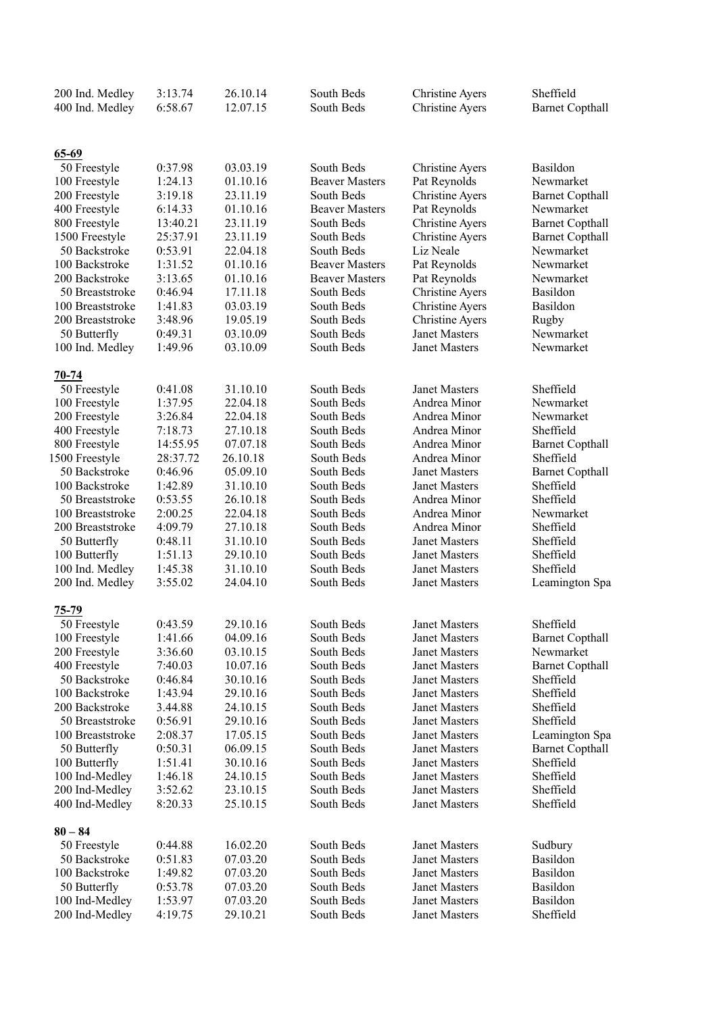| 200 Ind. Medley         | 3:13.74  | 26.10.14 | South Beds            | <b>Christine Ayers</b> | Sheffield              |
|-------------------------|----------|----------|-----------------------|------------------------|------------------------|
| 400 Ind. Medley         | 6:58.67  | 12.07.15 | South Beds            | <b>Christine Ayers</b> | <b>Barnet Copthall</b> |
|                         |          |          |                       |                        |                        |
|                         |          |          |                       |                        |                        |
| $65-69$<br>50 Freestyle | 0:37.98  | 03.03.19 | South Beds            | <b>Christine Ayers</b> | Basildon               |
| 100 Freestyle           | 1:24.13  | 01.10.16 | <b>Beaver Masters</b> | Pat Reynolds           | Newmarket              |
| 200 Freestyle           | 3:19.18  | 23.11.19 | South Beds            | <b>Christine Ayers</b> | <b>Barnet Copthall</b> |
| 400 Freestyle           | 6:14.33  | 01.10.16 | <b>Beaver Masters</b> | Pat Reynolds           | Newmarket              |
| 800 Freestyle           | 13:40.21 | 23.11.19 | South Beds            | <b>Christine Ayers</b> | <b>Barnet Copthall</b> |
| 1500 Freestyle          | 25:37.91 | 23.11.19 | South Beds            | <b>Christine Ayers</b> | <b>Barnet Copthall</b> |
| 50 Backstroke           | 0:53.91  | 22.04.18 | South Beds            | Liz Neale              | Newmarket              |
| 100 Backstroke          | 1:31.52  | 01.10.16 | <b>Beaver Masters</b> | Pat Reynolds           | Newmarket              |
| 200 Backstroke          | 3:13.65  | 01.10.16 | <b>Beaver Masters</b> | Pat Reynolds           | Newmarket              |
| 50 Breaststroke         | 0:46.94  | 17.11.18 | South Beds            | <b>Christine Ayers</b> | Basildon               |
| 100 Breaststroke        | 1:41.83  | 03.03.19 | South Beds            | Christine Ayers        | Basildon               |
| 200 Breaststroke        | 3:48.96  | 19.05.19 | South Beds            | <b>Christine Ayers</b> | Rugby                  |
| 50 Butterfly            | 0:49.31  | 03.10.09 | South Beds            | <b>Janet Masters</b>   | Newmarket              |
| 100 Ind. Medley         | 1:49.96  | 03.10.09 | South Beds            | Janet Masters          | Newmarket              |
|                         |          |          |                       |                        |                        |
| 70-74                   |          |          |                       |                        |                        |
| 50 Freestyle            | 0:41.08  | 31.10.10 | South Beds            | <b>Janet Masters</b>   | Sheffield              |
| 100 Freestyle           | 1:37.95  | 22.04.18 | South Beds            | Andrea Minor           | Newmarket              |
| 200 Freestyle           | 3:26.84  | 22.04.18 | South Beds            | Andrea Minor           | Newmarket              |
| 400 Freestyle           | 7:18.73  | 27.10.18 | South Beds            | Andrea Minor           | Sheffield              |
| 800 Freestyle           | 14:55.95 | 07.07.18 | South Beds            | Andrea Minor           | <b>Barnet Copthall</b> |
| 1500 Freestyle          | 28:37.72 | 26.10.18 | South Beds            | Andrea Minor           | Sheffield              |
| 50 Backstroke           | 0:46.96  | 05.09.10 | South Beds            | Janet Masters          | <b>Barnet Copthall</b> |
| 100 Backstroke          | 1:42.89  | 31.10.10 | South Beds            | Janet Masters          | Sheffield              |
| 50 Breaststroke         | 0:53.55  | 26.10.18 | South Beds            | Andrea Minor           | Sheffield              |
| 100 Breaststroke        | 2:00.25  | 22.04.18 | South Beds            | Andrea Minor           | Newmarket              |
| 200 Breaststroke        | 4:09.79  | 27.10.18 | South Beds            | Andrea Minor           | Sheffield              |
| 50 Butterfly            | 0:48.11  | 31.10.10 | South Beds            | Janet Masters          | Sheffield              |
| 100 Butterfly           | 1:51.13  | 29.10.10 | South Beds            | <b>Janet Masters</b>   | Sheffield              |
| 100 Ind. Medley         | 1:45.38  | 31.10.10 | South Beds            | <b>Janet Masters</b>   | Sheffield              |
| 200 Ind. Medley         | 3:55.02  | 24.04.10 | South Beds            | <b>Janet Masters</b>   | Leamington Spa         |
| $75 - 79$               |          |          |                       |                        |                        |
| 50 Freestyle            | 0:43.59  | 29.10.16 | South Beds            | <b>Janet Masters</b>   | Sheffield              |
| 100 Freestyle           | 1:41.66  | 04.09.16 | South Beds            | Janet Masters          | <b>Barnet Copthall</b> |
| 200 Freestyle           | 3:36.60  | 03.10.15 | South Beds            | Janet Masters          | Newmarket              |
| 400 Freestyle           | 7:40.03  | 10.07.16 | South Beds            | Janet Masters          | <b>Barnet Copthall</b> |
| 50 Backstroke           | 0:46.84  | 30.10.16 | South Beds            | Janet Masters          | Sheffield              |
| 100 Backstroke          | 1:43.94  | 29.10.16 | South Beds            | Janet Masters          | Sheffield              |
| 200 Backstroke          | 3.44.88  | 24.10.15 | South Beds            | Janet Masters          | Sheffield              |
| 50 Breaststroke         | 0:56.91  | 29.10.16 | South Beds            | Janet Masters          | Sheffield              |
| 100 Breaststroke        | 2:08.37  | 17.05.15 | South Beds            | Janet Masters          | Leamington Spa         |
| 50 Butterfly            | 0:50.31  | 06.09.15 | South Beds            | Janet Masters          | <b>Barnet Copthall</b> |
| 100 Butterfly           | 1:51.41  | 30.10.16 | South Beds            | <b>Janet Masters</b>   | Sheffield              |
| 100 Ind-Medley          | 1:46.18  | 24.10.15 | South Beds            | Janet Masters          | Sheffield              |
| 200 Ind-Medley          | 3:52.62  | 23.10.15 | South Beds            | <b>Janet Masters</b>   | Sheffield              |
| 400 Ind-Medley          | 8:20.33  | 25.10.15 | South Beds            | Janet Masters          | Sheffield              |
|                         |          |          |                       |                        |                        |
| $80 - 84$               |          |          |                       |                        |                        |
| 50 Freestyle            | 0:44.88  | 16.02.20 | South Beds            | Janet Masters          | Sudbury                |
| 50 Backstroke           | 0:51.83  | 07.03.20 | South Beds            | Janet Masters          | Basildon               |
| 100 Backstroke          | 1:49.82  | 07.03.20 | South Beds            | Janet Masters          | Basildon               |
| 50 Butterfly            | 0:53.78  | 07.03.20 | South Beds            | Janet Masters          | Basildon               |
| 100 Ind-Medley          | 1:53.97  | 07.03.20 | South Beds            | Janet Masters          | Basildon               |
| 200 Ind-Medley          | 4:19.75  | 29.10.21 | South Beds            | Janet Masters          | Sheffield              |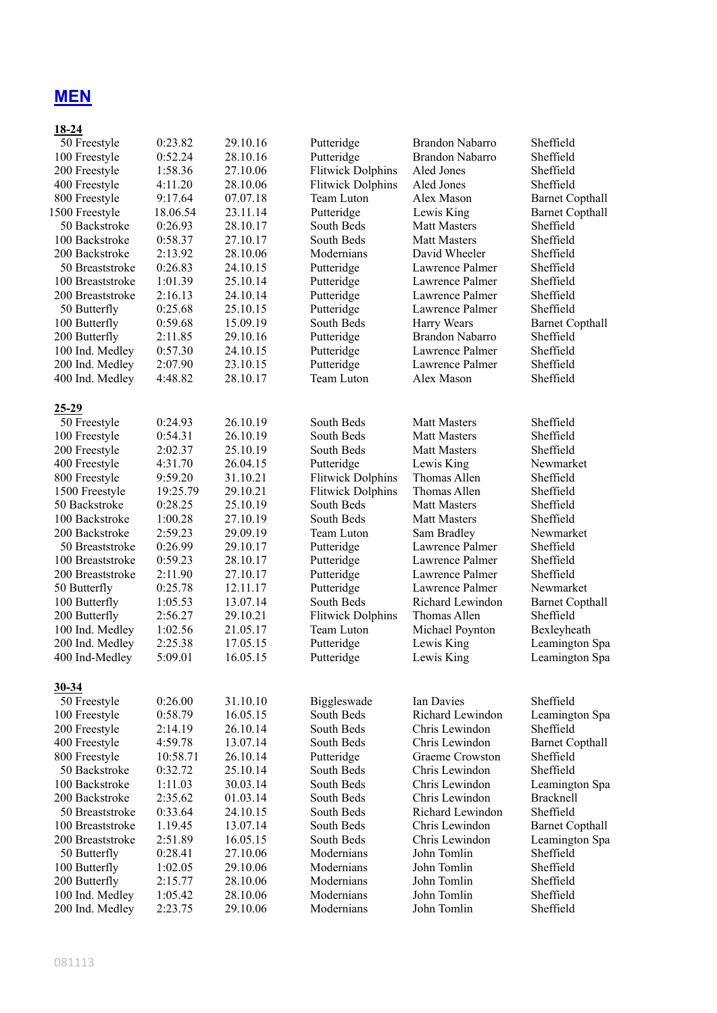# **MEN**

### **18-24**

| 50 Freestyle     | 0:23.82  | 29.10.16 | Putteridge               | <b>Brandon Nabarro</b> | Sheffield              |
|------------------|----------|----------|--------------------------|------------------------|------------------------|
| 100 Freestyle    | 0:52.24  | 28.10.16 | Putteridge               | Brandon Nabarro        | Sheffield              |
| 200 Freestyle    | 1:58.36  | 27.10.06 | <b>Flitwick Dolphins</b> | Aled Jones             | Sheffield              |
| 400 Freestyle    | 4:11.20  | 28.10.06 | <b>Flitwick Dolphins</b> | Aled Jones             | Sheffield              |
| 800 Freestyle    | 9:17.64  | 07.07.18 | Team Luton               | Alex Mason             | <b>Barnet Copthall</b> |
| 1500 Freestyle   | 18.06.54 | 23.11.14 | Putteridge               | Lewis King             | <b>Barnet Copthall</b> |
| 50 Backstroke    | 0:26.93  | 28.10.17 | South Beds               | <b>Matt Masters</b>    | Sheffield              |
| 100 Backstroke   | 0:58.37  | 27.10.17 | South Beds               | <b>Matt Masters</b>    | Sheffield              |
| 200 Backstroke   | 2:13.92  | 28.10.06 | Modernians               | David Wheeler          | Sheffield              |
| 50 Breaststroke  | 0:26.83  | 24.10.15 | Putteridge               | Lawrence Palmer        | Sheffield              |
| 100 Breaststroke | 1:01.39  | 25.10.14 | Putteridge               | Lawrence Palmer        | Sheffield              |
| 200 Breaststroke | 2:16.13  | 24.10.14 | Putteridge               | Lawrence Palmer        | Sheffield              |
| 50 Butterfly     | 0:25.68  | 25.10.15 | Putteridge               | Lawrence Palmer        | Sheffield              |
| 100 Butterfly    | 0:59.68  | 15.09.19 | South Beds               | Harry Wears            | <b>Barnet Copthall</b> |
| 200 Butterfly    | 2:11.85  | 29.10.16 | Putteridge               | <b>Brandon Nabarro</b> | Sheffield              |
| 100 Ind. Medley  | 0:57.30  | 24.10.15 | Putteridge               | Lawrence Palmer        | Sheffield              |
| 200 Ind. Medley  | 2:07.90  | 23.10.15 | Putteridge               | Lawrence Palmer        | Sheffield              |
| 400 Ind. Medley  | 4:48.82  | 28.10.17 | Team Luton               | Alex Mason             | Sheffield              |
|                  |          |          |                          |                        |                        |
| $25 - 29$        |          |          |                          |                        |                        |
| 50 Freestyle     | 0:24.93  | 26.10.19 | South Beds               | <b>Matt Masters</b>    | Sheffield              |
| 100 Freestyle    | 0:54.31  | 26.10.19 | South Beds               | <b>Matt Masters</b>    | Sheffield              |
| 200 Freestyle    | 2:02.37  | 25.10.19 | South Beds               | <b>Matt Masters</b>    | Sheffield              |
| 400 Freestyle    | 4:31.70  | 26.04.15 | Putteridge               | Lewis King             | Newmarket              |
| 800 Freestyle    | 9:59.20  | 31.10.21 | <b>Flitwick Dolphins</b> | Thomas Allen           | Sheffield              |
| 1500 Freestyle   | 19:25.79 | 29.10.21 | <b>Flitwick Dolphins</b> | Thomas Allen           | Sheffield              |
| 50 Backstroke    | 0:28.25  | 25.10.19 | South Beds               | <b>Matt Masters</b>    | Sheffield              |
| 100 Backstroke   | 1:00.28  | 27.10.19 | South Beds               | <b>Matt Masters</b>    | Sheffield              |
| 200 Backstroke   | 2:59.23  | 29.09.19 | Team Luton               | Sam Bradley            | Newmarket              |
| 50 Breaststroke  | 0:26.99  | 29.10.17 | Putteridge               | Lawrence Palmer        | Sheffield              |
| 100 Breaststroke | 0:59.23  | 28.10.17 | Putteridge               | Lawrence Palmer        | Sheffield              |
| 200 Breaststroke | 2:11.90  | 27.10.17 | Putteridge               | Lawrence Palmer        | Sheffield              |
| 50 Butterfly     | 0:25.78  | 12.11.17 | Putteridge               | Lawrence Palmer        | Newmarket              |
| 100 Butterfly    | 1:05.53  | 13.07.14 | South Beds               | Richard Lewindon       | <b>Barnet Copthall</b> |
| 200 Butterfly    | 2:56.27  | 29.10.21 | <b>Flitwick Dolphins</b> | Thomas Allen           | Sheffield              |
| 100 Ind. Medley  | 1:02.56  | 21.05.17 | Team Luton               | Michael Poynton        | Bexleyheath            |
| 200 Ind. Medley  | 2:25.38  | 17.05.15 | Putteridge               | Lewis King             | Leamington Spa         |
| 400 Ind-Medley   | 5:09.01  | 16.05.15 | Putteridge               | Lewis King             | Leamington Spa         |
|                  |          |          |                          |                        |                        |
| $30 - 34$        |          |          |                          |                        |                        |
| 50 Freestyle     | 0:26.00  | 31.10.10 | Biggleswade              | Ian Davies             | Sheffield              |
| 100 Freestyle    | 0:58.79  | 16.05.15 | South Beds               | Richard Lewindon       | Leamington Spa         |
| 200 Freestyle    | 2:14.19  | 26.10.14 | South Beds               | Chris Lewindon         | Sheffield              |
| 400 Freestyle    | 4:59.78  | 13.07.14 | South Beds               | Chris Lewindon         | <b>Barnet Copthall</b> |
| 800 Freestyle    | 10:58.71 | 26.10.14 | Putteridge               | Graeme Crowston        | Sheffield              |
| 50 Backstroke    | 0:32.72  | 25.10.14 | South Beds               | Chris Lewindon         | Sheffield              |
| 100 Backstroke   | 1:11.03  | 30.03.14 | South Beds               | Chris Lewindon         | Leamington Spa         |
| 200 Backstroke   | 2:35.62  | 01.03.14 | South Beds               | Chris Lewindon         | Bracknell              |
| 50 Breaststroke  | 0:33.64  | 24.10.15 | South Beds               | Richard Lewindon       | Sheffield              |
| 100 Breaststroke | 1.19.45  | 13.07.14 | South Beds               | Chris Lewindon         | <b>Barnet Copthall</b> |
| 200 Breaststroke | 2:51.89  | 16.05.15 | South Beds               | Chris Lewindon         | Leamington Spa         |
| 50 Butterfly     | 0:28.41  | 27.10.06 | Modernians               | John Tomlin            | Sheffield              |
| 100 Butterfly    | 1:02.05  | 29.10.06 | Modernians               | John Tomlin            | Sheffield              |
| 200 Butterfly    | 2:15.77  | 28.10.06 | Modernians               | John Tomlin            | Sheffield              |
| 100 Ind. Medley  | 1:05.42  | 28.10.06 | Modernians               | John Tomlin            | Sheffield              |
| 200 Ind. Medley  | 2:23.75  | 29.10.06 | Modernians               | John Tomlin            | Sheffield              |
|                  |          |          |                          |                        |                        |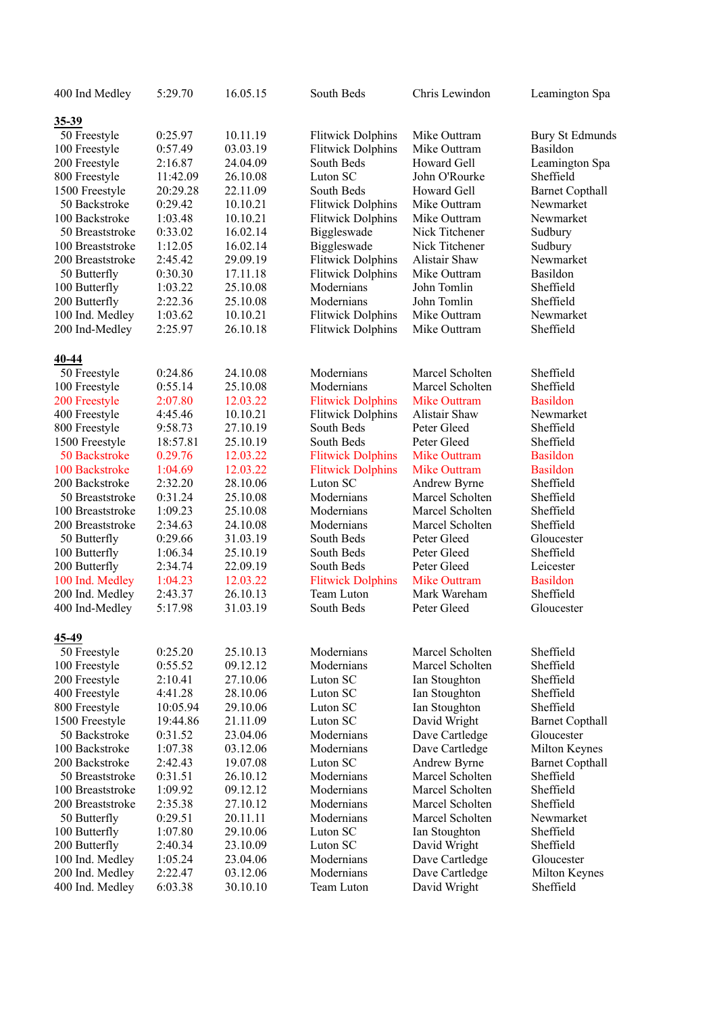| 400 Ind Medley   | 5:29.70  | 16.05.15 | South Beds               | Chris Lewindon      | Leamington Spa         |
|------------------|----------|----------|--------------------------|---------------------|------------------------|
| $35 - 39$        |          |          |                          |                     |                        |
| 50 Freestyle     | 0:25.97  | 10.11.19 | <b>Flitwick Dolphins</b> | Mike Outtram        | <b>Bury St Edmunds</b> |
| 100 Freestyle    | 0:57.49  | 03.03.19 | <b>Flitwick Dolphins</b> | Mike Outtram        | Basildon               |
| 200 Freestyle    | 2:16.87  | 24.04.09 | South Beds               | Howard Gell         | Leamington Spa         |
| 800 Freestyle    | 11:42.09 | 26.10.08 | Luton SC                 | John O'Rourke       | Sheffield              |
| 1500 Freestyle   | 20:29.28 | 22.11.09 | South Beds               | Howard Gell         | <b>Barnet Copthall</b> |
| 50 Backstroke    | 0:29.42  | 10.10.21 | <b>Flitwick Dolphins</b> | Mike Outtram        | Newmarket              |
| 100 Backstroke   | 1:03.48  | 10.10.21 | <b>Flitwick Dolphins</b> | Mike Outtram        | Newmarket              |
| 50 Breaststroke  | 0:33.02  | 16.02.14 | Biggleswade              | Nick Titchener      | Sudbury                |
| 100 Breaststroke | 1:12.05  | 16.02.14 | Biggleswade              | Nick Titchener      | Sudbury                |
| 200 Breaststroke | 2:45.42  | 29.09.19 | <b>Flitwick Dolphins</b> | Alistair Shaw       | Newmarket              |
| 50 Butterfly     | 0:30.30  | 17.11.18 | <b>Flitwick Dolphins</b> | Mike Outtram        | Basildon               |
| 100 Butterfly    | 1:03.22  | 25.10.08 | Modernians               | John Tomlin         | Sheffield              |
| 200 Butterfly    | 2:22.36  | 25.10.08 | Modernians               | John Tomlin         | Sheffield              |
| 100 Ind. Medley  | 1:03.62  | 10.10.21 | <b>Flitwick Dolphins</b> | Mike Outtram        | Newmarket              |
| 200 Ind-Medley   | 2:25.97  | 26.10.18 | <b>Flitwick Dolphins</b> | Mike Outtram        | Sheffield              |
| 40-44            |          |          |                          |                     |                        |
| 50 Freestyle     | 0:24.86  | 24.10.08 | Modernians               | Marcel Scholten     | Sheffield              |
| 100 Freestyle    | 0:55.14  | 25.10.08 | Modernians               | Marcel Scholten     | Sheffield              |
| 200 Freestyle    | 2:07.80  | 12.03.22 | <b>Flitwick Dolphins</b> | <b>Mike Outtram</b> | <b>Basildon</b>        |
| 400 Freestyle    | 4:45.46  | 10.10.21 | <b>Flitwick Dolphins</b> | Alistair Shaw       | Newmarket              |
| 800 Freestyle    | 9:58.73  | 27.10.19 | South Beds               | Peter Gleed         | Sheffield              |
| 1500 Freestyle   | 18:57.81 | 25.10.19 | South Beds               | Peter Gleed         | Sheffield              |
| 50 Backstroke    | 0.29.76  | 12.03.22 | <b>Flitwick Dolphins</b> | <b>Mike Outtram</b> | <b>Basildon</b>        |
| 100 Backstroke   | 1:04.69  | 12.03.22 | <b>Flitwick Dolphins</b> | <b>Mike Outtram</b> | <b>Basildon</b>        |
| 200 Backstroke   | 2:32.20  | 28.10.06 | Luton SC                 | Andrew Byrne        | Sheffield              |
| 50 Breaststroke  | 0:31.24  | 25.10.08 | Modernians               | Marcel Scholten     | Sheffield              |
| 100 Breaststroke | 1:09.23  | 25.10.08 | Modernians               | Marcel Scholten     | Sheffield              |
| 200 Breaststroke | 2:34.63  | 24.10.08 | Modernians               | Marcel Scholten     | Sheffield              |
| 50 Butterfly     | 0:29.66  | 31.03.19 | South Beds               | Peter Gleed         | Gloucester             |
| 100 Butterfly    | 1:06.34  | 25.10.19 | South Beds               | Peter Gleed         | Sheffield              |
| 200 Butterfly    | 2:34.74  | 22.09.19 | South Beds               | Peter Gleed         | Leicester              |
| 100 Ind. Medley  | 1:04.23  | 12.03.22 | <b>Flitwick Dolphins</b> | <b>Mike Outtram</b> | <b>Basildon</b>        |
| 200 Ind. Medley  | 2:43.37  | 26.10.13 | Team Luton               | Mark Wareham        | Sheffield              |
| 400 Ind-Medley   | 5:17.98  | 31.03.19 | South Beds               | Peter Gleed         | Gloucester             |
| 45-49            |          |          |                          |                     |                        |
| 50 Freestyle     | 0:25.20  | 25.10.13 | Modernians               | Marcel Scholten     | Sheffield              |
| 100 Freestyle    | 0:55.52  | 09.12.12 | Modernians               | Marcel Scholten     | Sheffield              |
| 200 Freestyle    | 2:10.41  | 27.10.06 | Luton SC                 | Ian Stoughton       | Sheffield              |
| 400 Freestyle    | 4:41.28  | 28.10.06 | Luton SC                 | Ian Stoughton       | Sheffield              |
| 800 Freestyle    | 10:05.94 | 29.10.06 | Luton SC                 | Ian Stoughton       | Sheffield              |
| 1500 Freestyle   | 19:44.86 | 21.11.09 | Luton SC                 | David Wright        | <b>Barnet Copthall</b> |
| 50 Backstroke    | 0:31.52  | 23.04.06 | Modernians               | Dave Cartledge      | Gloucester             |
| 100 Backstroke   | 1:07.38  | 03.12.06 | Modernians               | Dave Cartledge      | Milton Keynes          |
| 200 Backstroke   | 2:42.43  | 19.07.08 | Luton SC                 | Andrew Byrne        | <b>Barnet Copthall</b> |
| 50 Breaststroke  | 0:31.51  | 26.10.12 | Modernians               | Marcel Scholten     | Sheffield              |
| 100 Breaststroke | 1:09.92  | 09.12.12 | Modernians               | Marcel Scholten     | Sheffield              |
| 200 Breaststroke | 2:35.38  | 27.10.12 | Modernians               | Marcel Scholten     | Sheffield              |
| 50 Butterfly     | 0:29.51  | 20.11.11 | Modernians               | Marcel Scholten     | Newmarket              |
| 100 Butterfly    | 1:07.80  | 29.10.06 | Luton SC                 | Ian Stoughton       | Sheffield              |
| 200 Butterfly    | 2:40.34  | 23.10.09 | Luton SC                 | David Wright        | Sheffield              |
| 100 Ind. Medley  | 1:05.24  | 23.04.06 | Modernians               | Dave Cartledge      | Gloucester             |
| 200 Ind. Medley  | 2:22.47  | 03.12.06 | Modernians               | Dave Cartledge      | Milton Keynes          |
| 400 Ind. Medley  | 6:03.38  | 30.10.10 | Team Luton               | David Wright        | Sheffield              |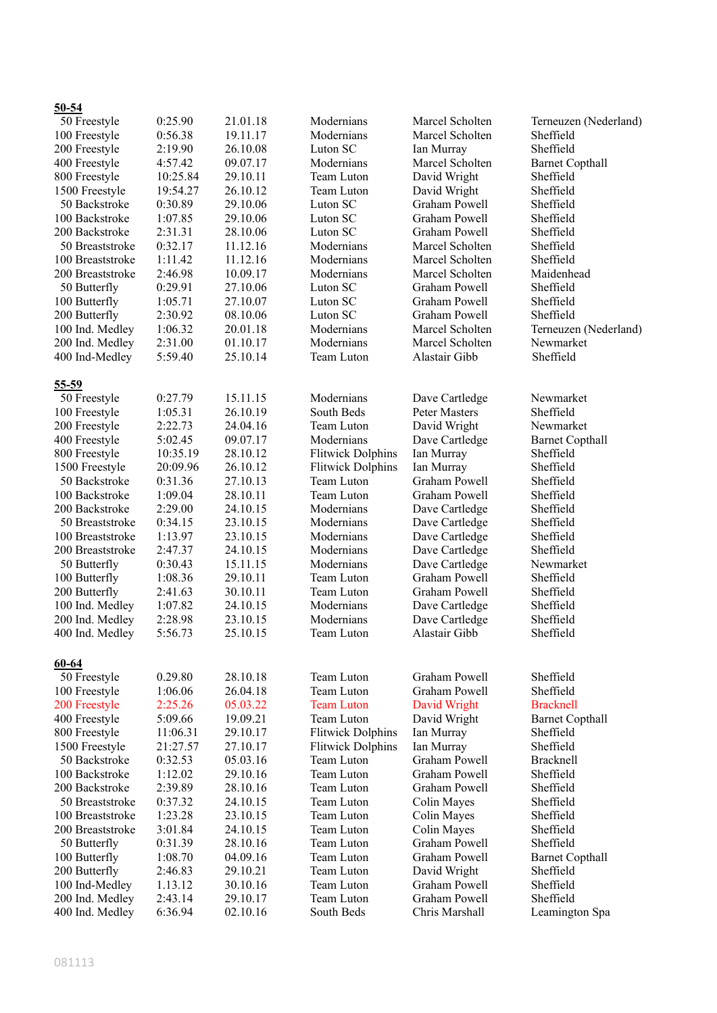#### **50-54**

| 50 Freestyle                    | 0:25.90            | 21.01.18             | Modernians                             | Marcel Scholten             | Terneuzen (Nederland)  |
|---------------------------------|--------------------|----------------------|----------------------------------------|-----------------------------|------------------------|
| 100 Freestyle                   | 0:56.38            | 19.11.17             | Modernians                             | Marcel Scholten             | Sheffield              |
| 200 Freestyle                   | 2:19.90            | 26.10.08             | Luton SC                               | Ian Murray                  | Sheffield              |
| 400 Freestyle                   | 4:57.42            | 09.07.17             | Modernians                             | Marcel Scholten             | <b>Barnet Copthall</b> |
| 800 Freestyle                   | 10:25.84           | 29.10.11             | Team Luton                             | David Wright                | Sheffield              |
| 1500 Freestyle                  | 19:54.27           | 26.10.12             | Team Luton                             | David Wright                | Sheffield              |
| 50 Backstroke                   | 0:30.89            | 29.10.06             | Luton SC                               | Graham Powell               | Sheffield              |
| 100 Backstroke                  | 1:07.85            | 29.10.06             | Luton SC                               | Graham Powell               | Sheffield              |
| 200 Backstroke                  | 2:31.31            | 28.10.06             | Luton SC                               | Graham Powell               | Sheffield              |
| 50 Breaststroke                 | 0:32.17            | 11.12.16             | Modernians                             | Marcel Scholten             | Sheffield              |
| 100 Breaststroke                | 1:11.42            | 11.12.16             | Modernians                             | Marcel Scholten             | Sheffield              |
| 200 Breaststroke                | 2:46.98            | 10.09.17             | Modernians                             | Marcel Scholten             | Maidenhead             |
| 50 Butterfly                    | 0:29.91            | 27.10.06             | Luton SC                               | Graham Powell               | Sheffield              |
| 100 Butterfly                   | 1:05.71            | 27.10.07             | Luton SC                               | Graham Powell               | Sheffield              |
| 200 Butterfly                   | 2:30.92            | 08.10.06             | Luton SC                               | Graham Powell               | Sheffield              |
| 100 Ind. Medley                 | 1:06.32            | 20.01.18             | Modernians                             | Marcel Scholten             | Terneuzen (Nederland)  |
| 200 Ind. Medley                 | 2:31.00            | 01.10.17             | Modernians                             | Marcel Scholten             | Newmarket              |
| 400 Ind-Medley                  | 5:59.40            | 25.10.14             | Team Luton                             | Alastair Gibb               | Sheffield              |
|                                 |                    |                      |                                        |                             |                        |
| $55 - 59$                       |                    |                      |                                        |                             |                        |
| 50 Freestyle                    | 0:27.79            | 15.11.15             | Modernians                             | Dave Cartledge              | Newmarket              |
| 100 Freestyle                   | 1:05.31            | 26.10.19             | South Beds                             | Peter Masters               | Sheffield              |
| 200 Freestyle                   | 2:22.73            | 24.04.16             | Team Luton                             | David Wright                | Newmarket              |
| 400 Freestyle                   | 5:02.45            | 09.07.17             | Modernians                             | Dave Cartledge              | <b>Barnet Copthall</b> |
| 800 Freestyle                   | 10:35.19           | 28.10.12             | <b>Flitwick Dolphins</b>               | Ian Murray                  | Sheffield              |
| 1500 Freestyle                  | 20:09.96           | 26.10.12             | <b>Flitwick Dolphins</b>               | Ian Murray                  | Sheffield              |
| 50 Backstroke                   | 0:31.36            | 27.10.13             | Team Luton                             | Graham Powell               | Sheffield              |
| 100 Backstroke                  | 1:09.04            | 28.10.11             | Team Luton                             | Graham Powell               | Sheffield              |
| 200 Backstroke                  | 2:29.00            | 24.10.15             | Modernians                             | Dave Cartledge              | Sheffield              |
| 50 Breaststroke                 | 0:34.15            | 23.10.15             | Modernians                             | Dave Cartledge              | Sheffield              |
| 100 Breaststroke                | 1:13.97            | 23.10.15             | Modernians                             | Dave Cartledge              | Sheffield              |
| 200 Breaststroke                | 2:47.37            | 24.10.15             | Modernians                             | Dave Cartledge              | Sheffield              |
| 50 Butterfly                    | 0:30.43            | 15.11.15             | Modernians                             | Dave Cartledge              | Newmarket              |
| 100 Butterfly                   | 1:08.36            | 29.10.11             | Team Luton                             | Graham Powell               | Sheffield              |
| 200 Butterfly                   | 2:41.63            | 30.10.11             | Team Luton                             | Graham Powell               | Sheffield              |
| 100 Ind. Medley                 | 1:07.82            | 24.10.15             | Modernians                             | Dave Cartledge              | Sheffield              |
| 200 Ind. Medley                 | 2:28.98            | 23.10.15             | Modernians                             | Dave Cartledge              | Sheffield              |
| 400 Ind. Medley                 | 5:56.73            | 25.10.15             | Team Luton                             | Alastair Gibb               | Sheffield              |
|                                 |                    |                      |                                        |                             |                        |
|                                 |                    |                      |                                        |                             |                        |
| $60 - 64$<br>50 Freestyle       | 0.29.80            | 28.10.18             | Team Luton                             | Graham Powell               | Sheffield              |
| 100 Freestyle                   | 1:06.06            | 26.04.18             | Team Luton                             | Graham Powell               | Sheffield              |
|                                 |                    |                      | <b>Team Luton</b>                      |                             |                        |
| 200 Freestyle                   | 2:25.26<br>5:09.66 | 05.03.22<br>19.09.21 | Team Luton                             | David Wright                | <b>Bracknell</b>       |
| 400 Freestyle                   |                    |                      |                                        | David Wright                | <b>Barnet Copthall</b> |
| 800 Freestyle                   | 11:06.31           | 29.10.17             | <b>Flitwick Dolphins</b>               | Ian Murray                  | Sheffield              |
| 1500 Freestyle<br>50 Backstroke | 21:27.57           | 27.10.17             | <b>Flitwick Dolphins</b><br>Team Luton | Ian Murray<br>Graham Powell | Sheffield              |
|                                 | 0:32.53            | 05.03.16             |                                        |                             | Bracknell              |
| 100 Backstroke                  | 1:12.02            | 29.10.16             | Team Luton                             | <b>Graham Powell</b>        | Sheffield              |
| 200 Backstroke                  | 2:39.89            | 28.10.16             | Team Luton                             | Graham Powell               | Sheffield              |
| 50 Breaststroke                 | 0:37.32            | 24.10.15             | Team Luton                             | Colin Mayes                 | Sheffield              |
| 100 Breaststroke                | 1:23.28            | 23.10.15             | Team Luton                             | Colin Mayes                 | Sheffield              |
| 200 Breaststroke                | 3:01.84            | 24.10.15             | Team Luton                             | Colin Mayes                 | Sheffield              |
| 50 Butterfly                    | 0:31.39            | 28.10.16             | Team Luton                             | Graham Powell               | Sheffield              |
| 100 Butterfly                   | 1:08.70            | 04.09.16             | Team Luton                             | Graham Powell               | <b>Barnet Copthall</b> |
| 200 Butterfly                   | 2:46.83            | 29.10.21             | Team Luton                             | David Wright                | Sheffield              |
| 100 Ind-Medley                  | 1.13.12            | 30.10.16             | Team Luton                             | Graham Powell               | Sheffield              |
| 200 Ind. Medley                 | 2:43.14            | 29.10.17             | Team Luton                             | Graham Powell               | Sheffield              |
| 400 Ind. Medley                 | 6:36.94            | 02.10.16             | South Beds                             | Chris Marshall              | Leamington Spa         |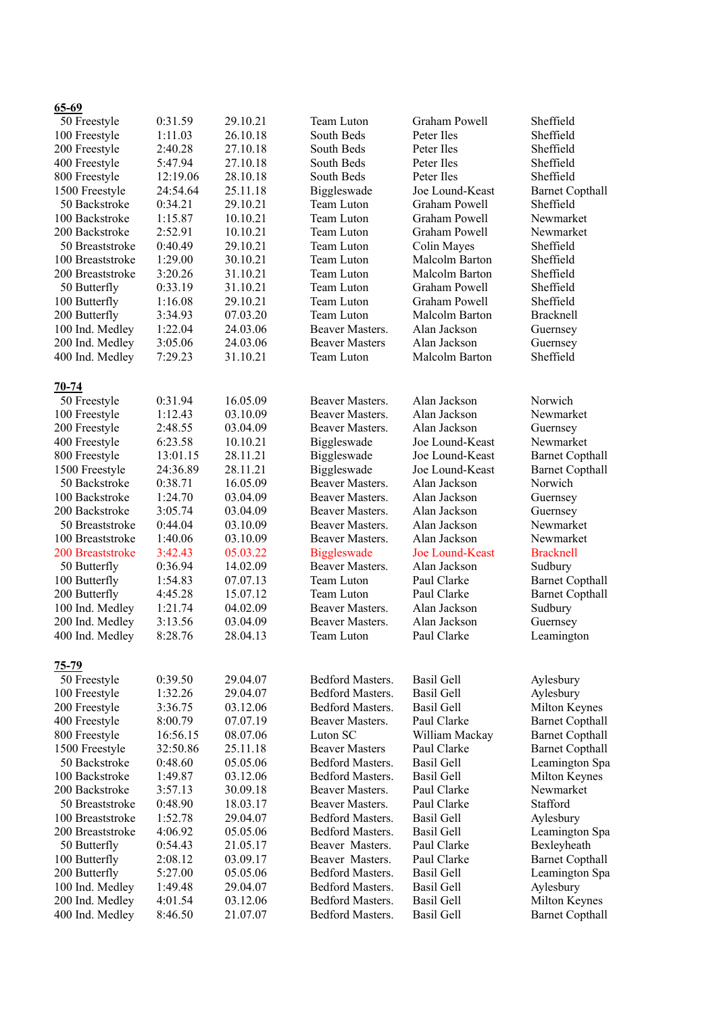| <u> və-vz</u>    |          |          |                       |                       |                        |
|------------------|----------|----------|-----------------------|-----------------------|------------------------|
| 50 Freestyle     | 0:31.59  | 29.10.21 | Team Luton            | Graham Powell         | Sheffield              |
| 100 Freestyle    | 1:11.03  | 26.10.18 | South Beds            | Peter Iles            | Sheffield              |
| 200 Freestyle    | 2:40.28  | 27.10.18 | South Beds            | Peter Iles            | Sheffield              |
| 400 Freestyle    | 5:47.94  | 27.10.18 | South Beds            | Peter Iles            | Sheffield              |
| 800 Freestyle    | 12:19.06 | 28.10.18 | South Beds            | Peter Iles            | Sheffield              |
| 1500 Freestyle   | 24:54.64 | 25.11.18 | Biggleswade           | Joe Lound-Keast       | <b>Barnet Copthall</b> |
| 50 Backstroke    | 0:34.21  | 29.10.21 | Team Luton            | Graham Powell         | Sheffield              |
| 100 Backstroke   | 1:15.87  | 10.10.21 | Team Luton            | Graham Powell         | Newmarket              |
| 200 Backstroke   | 2:52.91  | 10.10.21 | Team Luton            | Graham Powell         | Newmarket              |
| 50 Breaststroke  | 0:40.49  | 29.10.21 | Team Luton            | Colin Mayes           | Sheffield              |
| 100 Breaststroke | 1:29.00  | 30.10.21 | Team Luton            | Malcolm Barton        | Sheffield              |
|                  | 3:20.26  |          | Team Luton            |                       |                        |
| 200 Breaststroke |          | 31.10.21 |                       | Malcolm Barton        | Sheffield              |
| 50 Butterfly     | 0:33.19  | 31.10.21 | Team Luton            | Graham Powell         | Sheffield              |
| 100 Butterfly    | 1:16.08  | 29.10.21 | Team Luton            | Graham Powell         | Sheffield              |
| 200 Butterfly    | 3:34.93  | 07.03.20 | Team Luton            | Malcolm Barton        | Bracknell              |
| 100 Ind. Medley  | 1:22.04  | 24.03.06 | Beaver Masters.       | Alan Jackson          | Guernsey               |
| 200 Ind. Medley  | 3:05.06  | 24.03.06 | <b>Beaver Masters</b> | Alan Jackson          | Guernsey               |
| 400 Ind. Medley  | 7:29.23  | 31.10.21 | Team Luton            | <b>Malcolm Barton</b> | Sheffield              |
|                  |          |          |                       |                       |                        |
| $70 - 74$        |          |          |                       |                       |                        |
| 50 Freestyle     | 0:31.94  | 16.05.09 | Beaver Masters.       | Alan Jackson          | Norwich                |
| 100 Freestyle    | 1:12.43  | 03.10.09 | Beaver Masters.       | Alan Jackson          | Newmarket              |
| 200 Freestyle    | 2:48.55  | 03.04.09 | Beaver Masters.       | Alan Jackson          | Guernsey               |
| 400 Freestyle    | 6:23.58  | 10.10.21 | Biggleswade           | Joe Lound-Keast       | Newmarket              |
| 800 Freestyle    | 13:01.15 | 28.11.21 | Biggleswade           | Joe Lound-Keast       | <b>Barnet Copthall</b> |
| 1500 Freestyle   | 24:36.89 | 28.11.21 | Biggleswade           | Joe Lound-Keast       | <b>Barnet Copthall</b> |
| 50 Backstroke    | 0:38.71  | 16.05.09 | Beaver Masters.       | Alan Jackson          | Norwich                |
| 100 Backstroke   | 1:24.70  | 03.04.09 | Beaver Masters.       | Alan Jackson          | Guernsey               |
| 200 Backstroke   | 3:05.74  | 03.04.09 | Beaver Masters.       | Alan Jackson          | Guernsey               |
| 50 Breaststroke  | 0:44.04  | 03.10.09 | Beaver Masters.       | Alan Jackson          | Newmarket              |
| 100 Breaststroke | 1:40.06  | 03.10.09 | Beaver Masters.       | Alan Jackson          | Newmarket              |
|                  |          |          |                       |                       |                        |
| 200 Breaststroke | 3:42.43  | 05.03.22 | <b>Biggleswade</b>    | Joe Lound-Keast       | <b>Bracknell</b>       |
| 50 Butterfly     | 0:36.94  | 14.02.09 | Beaver Masters.       | Alan Jackson          | Sudbury                |
| 100 Butterfly    | 1:54.83  | 07.07.13 | Team Luton            | Paul Clarke           | <b>Barnet Copthall</b> |
| 200 Butterfly    | 4:45.28  | 15.07.12 | Team Luton            | Paul Clarke           | <b>Barnet Copthall</b> |
| 100 Ind. Medley  | 1:21.74  | 04.02.09 | Beaver Masters.       | Alan Jackson          | Sudbury                |
| 200 Ind. Medley  | 3:13.56  | 03.04.09 | Beaver Masters.       | Alan Jackson          | Guernsey               |
| 400 Ind. Medley  | 8:28.76  | 28.04.13 | Team Luton            | Paul Clarke           | Leamington             |
|                  |          |          |                       |                       |                        |
| $75 - 79$        |          |          |                       |                       |                        |
| 50 Freestyle     | 0:39.50  | 29.04.07 | Bedford Masters.      | <b>Basil Gell</b>     | Aylesbury              |
| 100 Freestyle    | 1:32.26  | 29.04.07 | Bedford Masters.      | <b>Basil Gell</b>     | Aylesbury              |
| 200 Freestyle    | 3:36.75  | 03.12.06 | Bedford Masters.      | <b>Basil Gell</b>     | Milton Keynes          |
| 400 Freestyle    | 8:00.79  | 07.07.19 | Beaver Masters.       | Paul Clarke           | <b>Barnet Copthall</b> |
| 800 Freestyle    | 16:56.15 | 08.07.06 | Luton SC              | William Mackay        | <b>Barnet Copthall</b> |
| 1500 Freestyle   | 32:50.86 | 25.11.18 | <b>Beaver Masters</b> | Paul Clarke           | <b>Barnet Copthall</b> |
| 50 Backstroke    | 0:48.60  | 05.05.06 | Bedford Masters.      | <b>Basil Gell</b>     | Leamington Spa         |
| 100 Backstroke   | 1:49.87  | 03.12.06 | Bedford Masters.      | <b>Basil Gell</b>     | Milton Keynes          |
| 200 Backstroke   | 3:57.13  | 30.09.18 | Beaver Masters.       | Paul Clarke           | Newmarket              |
| 50 Breaststroke  | 0:48.90  | 18.03.17 | Beaver Masters.       | Paul Clarke           | Stafford               |
| 100 Breaststroke | 1:52.78  | 29.04.07 | Bedford Masters.      | <b>Basil Gell</b>     | Aylesbury              |
| 200 Breaststroke | 4:06.92  |          | Bedford Masters.      | <b>Basil Gell</b>     |                        |
|                  |          | 05.05.06 |                       |                       | Leamington Spa         |
| 50 Butterfly     | 0:54.43  | 21.05.17 | Beaver Masters.       | Paul Clarke           | Bexleyheath            |
| 100 Butterfly    | 2:08.12  | 03.09.17 | Beaver Masters.       | Paul Clarke           | <b>Barnet Copthall</b> |
| 200 Butterfly    | 5:27.00  | 05.05.06 | Bedford Masters.      | <b>Basil Gell</b>     | Leamington Spa         |
| 100 Ind. Medley  | 1:49.48  | 29.04.07 | Bedford Masters.      | <b>Basil Gell</b>     | Aylesbury              |
| 200 Ind. Medley  | 4:01.54  | 03.12.06 | Bedford Masters.      | <b>Basil Gell</b>     | Milton Keynes          |
| 400 Ind. Medley  | 8:46.50  | 21.07.07 | Bedford Masters.      | <b>Basil Gell</b>     | <b>Barnet Copthall</b> |
|                  |          |          |                       |                       |                        |